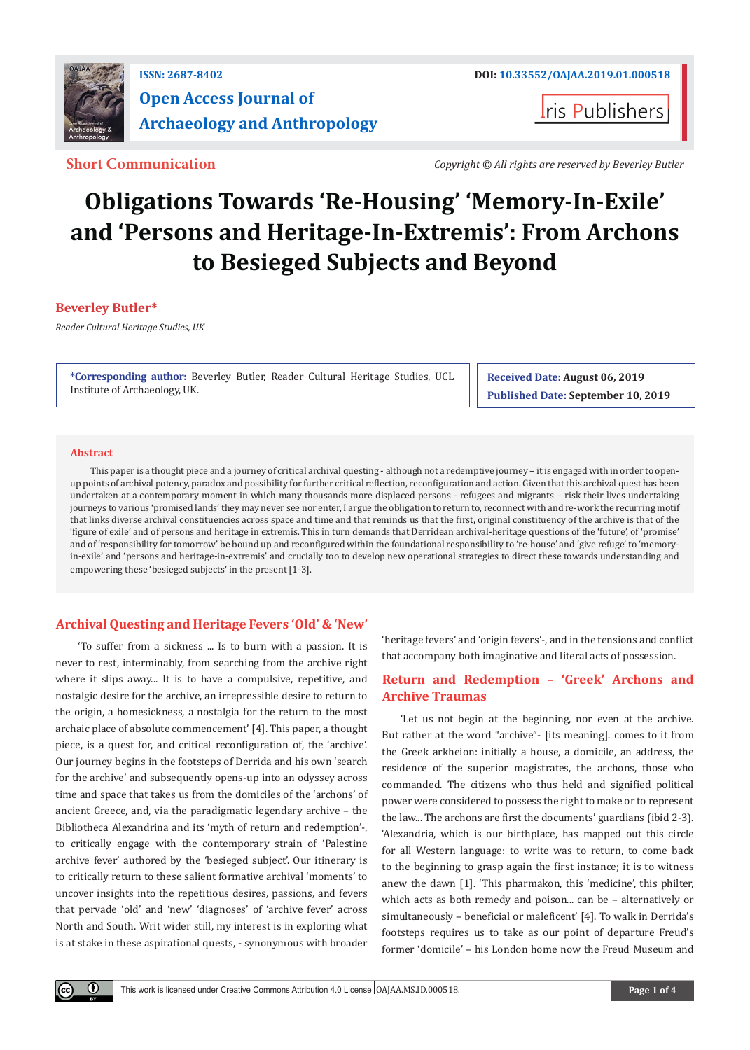

## **ISSN: 2687-8402 DOI: [10.33552/OAJAA.2019.01.000518](http://dx.doi.org/10.33552/OAJAA.2019.01.000518) Open Access Journal of Archaeology and Anthropology**

**I**ris Publishers

**Short Communication** *Copyright © All rights are reserved by Beverley Butler*

# **Obligations Towards 'Re-Housing' 'Memory-In-Exile' and 'Persons and Heritage-In-Extremis': From Archons to Besieged Subjects and Beyond**

#### **Beverley Butler\***

*Reader Cultural Heritage Studies, UK*

**\*Corresponding author:** Beverley Butler, Reader Cultural Heritage Studies, UCL Institute of Archaeology, UK.

**Received Date: August 06, 2019 Published Date: September 10, 2019**

#### **Abstract**

 $\bf{0}$ 

This paper is a thought piece and a journey of critical archival questing - although not a redemptive journey – it is engaged with in order to openup points of archival potency, paradox and possibility for further critical reflection, reconfiguration and action. Given that this archival quest has been undertaken at a contemporary moment in which many thousands more displaced persons - refugees and migrants – risk their lives undertaking journeys to various 'promised lands' they may never see nor enter, I argue the obligation to return to, reconnect with and re-work the recurring motif that links diverse archival constituencies across space and time and that reminds us that the first, original constituency of the archive is that of the 'figure of exile' and of persons and heritage in extremis. This in turn demands that Derridean archival-heritage questions of the 'future', of 'promise' and of 'responsibility for tomorrow' be bound up and reconfigured within the foundational responsibility to 're-house' and 'give refuge' to 'memoryin-exile' and 'persons and heritage-in-extremis' and crucially too to develop new operational strategies to direct these towards understanding and empowering these 'besieged subjects' in the present [1-3].

#### **Archival Questing and Heritage Fevers 'Old' & 'New'**

 'To suffer from a sickness ... Is to burn with a passion. It is never to rest, interminably, from searching from the archive right where it slips away... It is to have a compulsive, repetitive, and nostalgic desire for the archive, an irrepressible desire to return to the origin, a homesickness, a nostalgia for the return to the most archaic place of absolute commencement' [4]. This paper, a thought piece, is a quest for, and critical reconfiguration of, the 'archive'. Our journey begins in the footsteps of Derrida and his own 'search for the archive' and subsequently opens-up into an odyssey across time and space that takes us from the domiciles of the 'archons' of ancient Greece, and, via the paradigmatic legendary archive – the Bibliotheca Alexandrina and its 'myth of return and redemption'-, to critically engage with the contemporary strain of 'Palestine archive fever' authored by the 'besieged subject'. Our itinerary is to critically return to these salient formative archival 'moments' to uncover insights into the repetitious desires, passions, and fevers that pervade 'old' and 'new' 'diagnoses' of 'archive fever' across North and South. Writ wider still, my interest is in exploring what is at stake in these aspirational quests, - synonymous with broader

'heritage fevers' and 'origin fevers'-, and in the tensions and conflict that accompany both imaginative and literal acts of possession.

#### **Return and Redemption – 'Greek' Archons and Archive Traumas**

'Let us not begin at the beginning, nor even at the archive. But rather at the word "archive"- [its meaning]. comes to it from the Greek arkheion: initially a house, a domicile, an address, the residence of the superior magistrates, the archons, those who commanded. The citizens who thus held and signified political power were considered to possess the right to make or to represent the law... The archons are first the documents' guardians (ibid 2-3). 'Alexandria, which is our birthplace, has mapped out this circle for all Western language: to write was to return, to come back to the beginning to grasp again the first instance; it is to witness anew the dawn [1]. 'This pharmakon, this 'medicine', this philter, which acts as both remedy and poison... can be – alternatively or simultaneously – beneficial or maleficent' [4]. To walk in Derrida's footsteps requires us to take as our point of departure Freud's former 'domicile' – his London home now the Freud Museum and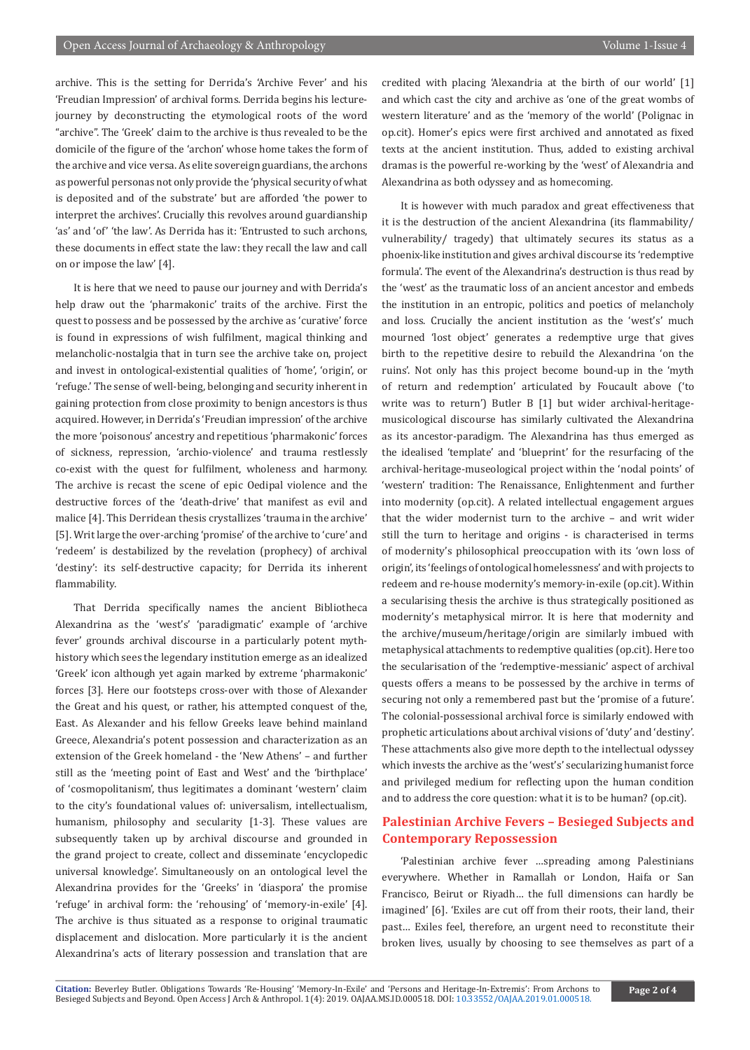archive. This is the setting for Derrida's 'Archive Fever' and his 'Freudian Impression' of archival forms. Derrida begins his lecturejourney by deconstructing the etymological roots of the word "archive". The 'Greek' claim to the archive is thus revealed to be the domicile of the figure of the 'archon' whose home takes the form of the archive and vice versa. As elite sovereign guardians, the archons as powerful personas not only provide the 'physical security of what is deposited and of the substrate' but are afforded 'the power to interpret the archives'. Crucially this revolves around guardianship 'as' and 'of' 'the law'. As Derrida has it: 'Entrusted to such archons, these documents in effect state the law: they recall the law and call on or impose the law' [4].

It is here that we need to pause our journey and with Derrida's help draw out the 'pharmakonic' traits of the archive. First the quest to possess and be possessed by the archive as 'curative' force is found in expressions of wish fulfilment, magical thinking and melancholic-nostalgia that in turn see the archive take on, project and invest in ontological-existential qualities of 'home', 'origin', or 'refuge.' The sense of well-being, belonging and security inherent in gaining protection from close proximity to benign ancestors is thus acquired. However, in Derrida's 'Freudian impression' of the archive the more 'poisonous' ancestry and repetitious 'pharmakonic' forces of sickness, repression, 'archio-violence' and trauma restlessly co-exist with the quest for fulfilment, wholeness and harmony. The archive is recast the scene of epic Oedipal violence and the destructive forces of the 'death-drive' that manifest as evil and malice [4]. This Derridean thesis crystallizes 'trauma in the archive' [5]. Writ large the over-arching 'promise' of the archive to 'cure' and 'redeem' is destabilized by the revelation (prophecy) of archival 'destiny': its self-destructive capacity; for Derrida its inherent flammability.

That Derrida specifically names the ancient Bibliotheca Alexandrina as the 'west's' 'paradigmatic' example of 'archive fever' grounds archival discourse in a particularly potent mythhistory which sees the legendary institution emerge as an idealized 'Greek' icon although yet again marked by extreme 'pharmakonic' forces [3]. Here our footsteps cross-over with those of Alexander the Great and his quest, or rather, his attempted conquest of the, East. As Alexander and his fellow Greeks leave behind mainland Greece, Alexandria's potent possession and characterization as an extension of the Greek homeland - the 'New Athens' – and further still as the 'meeting point of East and West' and the 'birthplace' of 'cosmopolitanism', thus legitimates a dominant 'western' claim to the city's foundational values of: universalism, intellectualism, humanism, philosophy and secularity [1-3]. These values are subsequently taken up by archival discourse and grounded in the grand project to create, collect and disseminate 'encyclopedic universal knowledge'. Simultaneously on an ontological level the Alexandrina provides for the 'Greeks' in 'diaspora' the promise 'refuge' in archival form: the 'rehousing' of 'memory-in-exile' [4]. The archive is thus situated as a response to original traumatic displacement and dislocation. More particularly it is the ancient Alexandrina's acts of literary possession and translation that are credited with placing 'Alexandria at the birth of our world' [1] and which cast the city and archive as 'one of the great wombs of western literature' and as the 'memory of the world' (Polignac in op.cit). Homer's epics were first archived and annotated as fixed texts at the ancient institution. Thus, added to existing archival dramas is the powerful re-working by the 'west' of Alexandria and Alexandrina as both odyssey and as homecoming.

It is however with much paradox and great effectiveness that it is the destruction of the ancient Alexandrina (its flammability/ vulnerability/ tragedy) that ultimately secures its status as a phoenix-like institution and gives archival discourse its 'redemptive formula'. The event of the Alexandrina's destruction is thus read by the 'west' as the traumatic loss of an ancient ancestor and embeds the institution in an entropic, politics and poetics of melancholy and loss. Crucially the ancient institution as the 'west's' much mourned 'lost object' generates a redemptive urge that gives birth to the repetitive desire to rebuild the Alexandrina 'on the ruins'. Not only has this project become bound-up in the 'myth of return and redemption' articulated by Foucault above ('to write was to return') Butler B [1] but wider archival-heritagemusicological discourse has similarly cultivated the Alexandrina as its ancestor-paradigm. The Alexandrina has thus emerged as the idealised 'template' and 'blueprint' for the resurfacing of the archival-heritage-museological project within the 'nodal points' of 'western' tradition: The Renaissance, Enlightenment and further into modernity (op.cit). A related intellectual engagement argues that the wider modernist turn to the archive – and writ wider still the turn to heritage and origins - is characterised in terms of modernity's philosophical preoccupation with its 'own loss of origin', its 'feelings of ontological homelessness' and with projects to redeem and re-house modernity's memory-in-exile (op.cit). Within a secularising thesis the archive is thus strategically positioned as modernity's metaphysical mirror. It is here that modernity and the archive/museum/heritage/origin are similarly imbued with metaphysical attachments to redemptive qualities (op.cit). Here too the secularisation of the 'redemptive-messianic' aspect of archival quests offers a means to be possessed by the archive in terms of securing not only a remembered past but the 'promise of a future'. The colonial-possessional archival force is similarly endowed with prophetic articulations about archival visions of 'duty' and 'destiny'. These attachments also give more depth to the intellectual odyssey which invests the archive as the 'west's' secularizing humanist force and privileged medium for reflecting upon the human condition and to address the core question: what it is to be human? (op.cit).

#### **Palestinian Archive Fevers – Besieged Subjects and Contemporary Repossession**

'Palestinian archive fever …spreading among Palestinians everywhere. Whether in Ramallah or London, Haifa or San Francisco, Beirut or Riyadh… the full dimensions can hardly be imagined' [6]. 'Exiles are cut off from their roots, their land, their past… Exiles feel, therefore, an urgent need to reconstitute their broken lives, usually by choosing to see themselves as part of a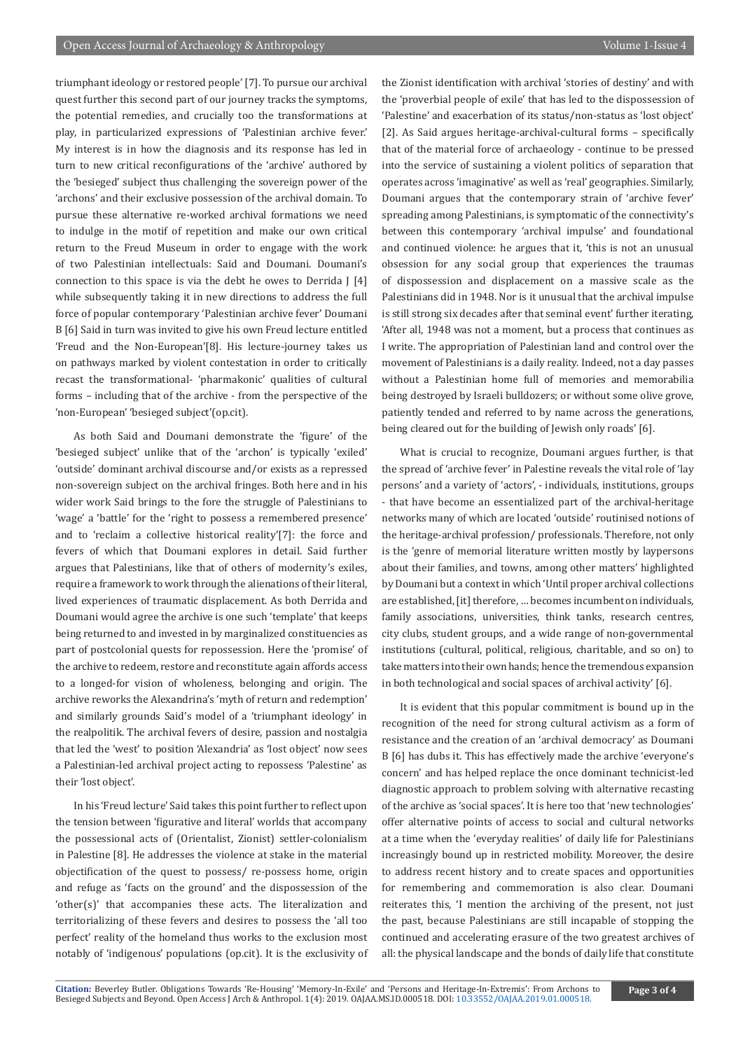triumphant ideology or restored people' [7]. To pursue our archival quest further this second part of our journey tracks the symptoms, the potential remedies, and crucially too the transformations at play, in particularized expressions of 'Palestinian archive fever.' My interest is in how the diagnosis and its response has led in turn to new critical reconfigurations of the 'archive' authored by the 'besieged' subject thus challenging the sovereign power of the 'archons' and their exclusive possession of the archival domain. To pursue these alternative re-worked archival formations we need to indulge in the motif of repetition and make our own critical return to the Freud Museum in order to engage with the work of two Palestinian intellectuals: Said and Doumani. Doumani's connection to this space is via the debt he owes to Derrida  $[4]$ while subsequently taking it in new directions to address the full force of popular contemporary 'Palestinian archive fever' Doumani B [6] Said in turn was invited to give his own Freud lecture entitled 'Freud and the Non-European'[8]. His lecture-journey takes us on pathways marked by violent contestation in order to critically recast the transformational- 'pharmakonic' qualities of cultural forms – including that of the archive - from the perspective of the 'non-European' 'besieged subject'(op.cit).

As both Said and Doumani demonstrate the 'figure' of the 'besieged subject' unlike that of the 'archon' is typically 'exiled' 'outside' dominant archival discourse and/or exists as a repressed non-sovereign subject on the archival fringes. Both here and in his wider work Said brings to the fore the struggle of Palestinians to 'wage' a 'battle' for the 'right to possess a remembered presence' and to 'reclaim a collective historical reality'[7]: the force and fevers of which that Doumani explores in detail. Said further argues that Palestinians, like that of others of modernity's exiles, require a framework to work through the alienations of their literal, lived experiences of traumatic displacement. As both Derrida and Doumani would agree the archive is one such 'template' that keeps being returned to and invested in by marginalized constituencies as part of postcolonial quests for repossession. Here the 'promise' of the archive to redeem, restore and reconstitute again affords access to a longed-for vision of wholeness, belonging and origin. The archive reworks the Alexandrina's 'myth of return and redemption' and similarly grounds Said's model of a 'triumphant ideology' in the realpolitik. The archival fevers of desire, passion and nostalgia that led the 'west' to position 'Alexandria' as 'lost object' now sees a Palestinian-led archival project acting to repossess 'Palestine' as their 'lost object'.

In his 'Freud lecture' Said takes this point further to reflect upon the tension between 'figurative and literal' worlds that accompany the possessional acts of (Orientalist, Zionist) settler-colonialism in Palestine [8]. He addresses the violence at stake in the material objectification of the quest to possess/ re-possess home, origin and refuge as 'facts on the ground' and the dispossession of the 'other(s)' that accompanies these acts. The literalization and territorializing of these fevers and desires to possess the 'all too perfect' reality of the homeland thus works to the exclusion most notably of 'indigenous' populations (op.cit). It is the exclusivity of the Zionist identification with archival 'stories of destiny' and with the 'proverbial people of exile' that has led to the dispossession of 'Palestine' and exacerbation of its status/non-status as 'lost object' [2]. As Said argues heritage-archival-cultural forms – specifically that of the material force of archaeology - continue to be pressed into the service of sustaining a violent politics of separation that operates across 'imaginative' as well as 'real' geographies. Similarly, Doumani argues that the contemporary strain of 'archive fever' spreading among Palestinians, is symptomatic of the connectivity's between this contemporary 'archival impulse' and foundational and continued violence: he argues that it, 'this is not an unusual obsession for any social group that experiences the traumas of dispossession and displacement on a massive scale as the Palestinians did in 1948. Nor is it unusual that the archival impulse is still strong six decades after that seminal event' further iterating, 'After all, 1948 was not a moment, but a process that continues as I write. The appropriation of Palestinian land and control over the movement of Palestinians is a daily reality. Indeed, not a day passes without a Palestinian home full of memories and memorabilia being destroyed by Israeli bulldozers; or without some olive grove, patiently tended and referred to by name across the generations, being cleared out for the building of Jewish only roads' [6].

What is crucial to recognize, Doumani argues further, is that the spread of 'archive fever' in Palestine reveals the vital role of 'lay persons' and a variety of 'actors', - individuals, institutions, groups - that have become an essentialized part of the archival-heritage networks many of which are located 'outside' routinised notions of the heritage-archival profession/ professionals. Therefore, not only is the 'genre of memorial literature written mostly by laypersons about their families, and towns, among other matters' highlighted by Doumani but a context in which 'Until proper archival collections are established, [it] therefore, … becomes incumbent on individuals, family associations, universities, think tanks, research centres, city clubs, student groups, and a wide range of non-governmental institutions (cultural, political, religious, charitable, and so on) to take matters into their own hands; hence the tremendous expansion in both technological and social spaces of archival activity' [6].

It is evident that this popular commitment is bound up in the recognition of the need for strong cultural activism as a form of resistance and the creation of an 'archival democracy' as Doumani B [6] has dubs it. This has effectively made the archive 'everyone's concern' and has helped replace the once dominant technicist-led diagnostic approach to problem solving with alternative recasting of the archive as 'social spaces'. It is here too that 'new technologies' offer alternative points of access to social and cultural networks at a time when the 'everyday realities' of daily life for Palestinians increasingly bound up in restricted mobility. Moreover, the desire to address recent history and to create spaces and opportunities for remembering and commemoration is also clear. Doumani reiterates this, 'I mention the archiving of the present, not just the past, because Palestinians are still incapable of stopping the continued and accelerating erasure of the two greatest archives of all: the physical landscape and the bonds of daily life that constitute